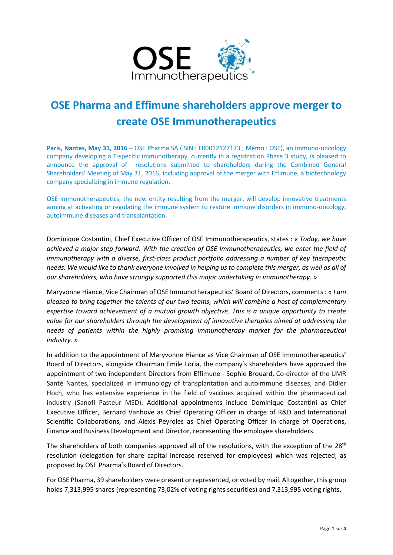

# **OSE Pharma and Effimune shareholders approve merger to create OSE Immunotherapeutics**

Paris, Nantes, May 31, 2016 – OSE Pharma SA (ISIN : FR0012127173 ; Mémo : OSE), an immuno-oncology company developing a T-specific immunotherapy, currently in a registration Phase 3 study, is pleased to announce the approval of resolutions submitted to shareholders during the Combined General Shareholders' Meeting of May 31, 2016, including approval of the merger with Effimune, a biotechnology company specializing in immune regulation.

OSE Immunotherapeutics, the new entity resulting from the merger, will develop innovative treatments aiming at activating or regulating the immune system to restore immune disorders in immuno-oncology, autoimmune diseases and transplantation.

Dominique Costantini, Chief Executive Officer of OSE Immunotherapeutics, states : *« Today, we have achieved a major step forward. With the creation of OSE Immunotherapeutics, we enter the field of immunotherapy with a diverse, first-class product portfolio addressing a number of key therapeutic needs. We would like to thank everyone involved in helping us to complete this merger, as well as all of our shareholders, who have strongly supported this major undertaking in immunotherapy. »*

Maryvonne Hiance, Vice Chairman of OSE Immunotherapeutics' Board of Directors, comments : *« I am pleased to bring together the talents of our two teams, which will combine a host of complementary expertise toward achievement of a mutual growth objective. This is a unique opportunity to create value for our shareholders through the development of innovative therapies aimed at addressing the needs of patients within the highly promising immunotherapy market for the pharmaceutical industry. »*

In addition to the appointment of Maryvonne Hiance as Vice Chairman of OSE Immunotherapeutics' Board of Directors, alongside Chairman Emile Loria, the company's shareholders have approved the appointment of two independent Directors from Effimune - Sophie Brouard, Co-director of the UMR Santé Nantes, specialized in immunology of transplantation and autoimmune diseases, and Didier Hoch, who has extensive experience in the field of vaccines acquired within the pharmaceutical industry (Sanofi Pasteur MSD). Additional appointments include Dominique Costantini as Chief Executive Officer, Bernard Vanhove as Chief Operating Officer in charge of R&D and International Scientific Collaborations, and Alexis Peyroles as Chief Operating Officer in charge of Operations, Finance and Business Development and Director, representing the employee shareholders.

The shareholders of both companies approved all of the resolutions, with the exception of the 28<sup>th</sup> resolution (delegation for share capital increase reserved for employees) which was rejected, as proposed by OSE Pharma's Board of Directors.

For OSE Pharma, 39 shareholders were present or represented, or voted by mail. Altogether, this group holds 7,313,995 shares (representing 73,02% of voting rights securities) and 7,313,995 voting rights.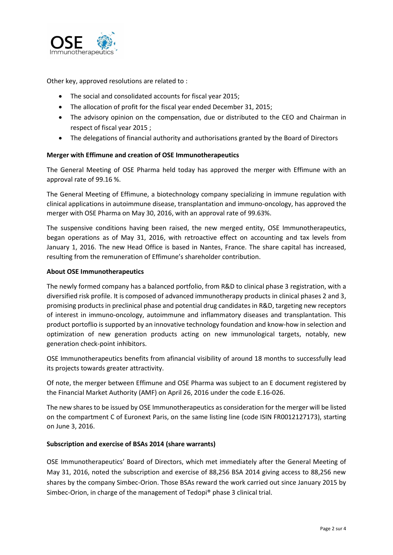

Other key, approved resolutions are related to :

- The social and consolidated accounts for fiscal year 2015;
- The allocation of profit for the fiscal year ended December 31, 2015;
- The advisory opinion on the compensation, due or distributed to the CEO and Chairman in respect of fiscal year 2015 ;
- The delegations of financial authority and authorisations granted by the Board of Directors

### **Merger with Effimune and creation of OSE Immunotherapeutics**

The General Meeting of OSE Pharma held today has approved the merger with Effimune with an approval rate of 99.16 %.

The General Meeting of Effimune, a biotechnology company specializing in immune regulation with clinical applications in autoimmune disease, transplantation and immuno-oncology, has approved the merger with OSE Pharma on May 30, 2016, with an approval rate of 99.63%.

The suspensive conditions having been raised, the new merged entity, OSE Immunotherapeutics, began operations as of May 31, 2016, with retroactive effect on accounting and tax levels from January 1, 2016. The new Head Office is based in Nantes, France. The share capital has increased, resulting from the remuneration of Effimune's shareholder contribution.

#### **About OSE Immunotherapeutics**

The newly formed company has a balanced portfolio, from R&D to clinical phase 3 registration, with a diversified risk profile. It is composed of advanced immunotherapy products in clinical phases 2 and 3, promising products in preclinical phase and potential drug candidates in R&D, targeting new receptors of interest in immuno-oncology, autoimmune and inflammatory diseases and transplantation. This product portoflio is supported by an innovative technology foundation and know-how in selection and optimization of new generation products acting on new immunological targets, notably, new generation check-point inhibitors.

OSE Immunotherapeutics benefits from afinancial visibility of around 18 months to successfully lead its projects towards greater attractivity.

Of note, the merger between Effimune and OSE Pharma was subject to an E document registered by the Financial Market Authority (AMF) on April 26, 2016 under the code E.16-026.

The new shares to be issued by OSE Immunotherapeutics as consideration for the merger will be listed on the compartment C of Euronext Paris, on the same listing line (code ISIN FR0012127173), starting on June 3, 2016.

### **Subscription and exercise of BSAs 2014 (share warrants)**

OSE Immunotherapeutics' Board of Directors, which met immediately after the General Meeting of May 31, 2016, noted the subscription and exercise of 88,256 BSA 2014 giving access to 88,256 new shares by the company Simbec-Orion. Those BSAs reward the work carried out since January 2015 by Simbec-Orion, in charge of the management of Tedopi® phase 3 clinical trial.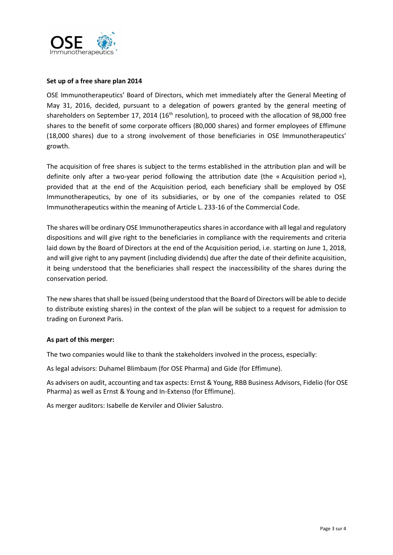

## **Set up of a free share plan 2014**

OSE Immunotherapeutics' Board of Directors, which met immediately after the General Meeting of May 31, 2016, decided, pursuant to a delegation of powers granted by the general meeting of shareholders on September 17, 2014 (16<sup>th</sup> resolution), to proceed with the allocation of 98,000 free shares to the benefit of some corporate officers (80,000 shares) and former employees of Effimune (18,000 shares) due to a strong involvement of those beneficiaries in OSE Immunotherapeutics' growth.

The acquisition of free shares is subject to the terms established in the attribution plan and will be definite only after a two-year period following the attribution date (the « Acquisition period »), provided that at the end of the Acquisition period, each beneficiary shall be employed by OSE Immunotherapeutics, by one of its subsidiaries, or by one of the companies related to OSE Immunotherapeutics within the meaning of Article L. 233-16 of the Commercial Code.

The shares will be ordinary OSE Immunotherapeutics shares in accordance with all legal and regulatory dispositions and will give right to the beneficiaries in compliance with the requirements and criteria laid down by the Board of Directors at the end of the Acquisition period, i.e. starting on June 1, 2018, and will give right to any payment (including dividends) due after the date of their definite acquisition, it being understood that the beneficiaries shall respect the inaccessibility of the shares during the conservation period.

The new shares that shall be issued (being understood that the Board of Directors will be able to decide to distribute existing shares) in the context of the plan will be subject to a request for admission to trading on Euronext Paris.

### **As part of this merger:**

The two companies would like to thank the stakeholders involved in the process, especially:

As legal advisors: Duhamel Blimbaum (for OSE Pharma) and Gide (for Effimune).

As advisers on audit, accounting and tax aspects: Ernst & Young, RBB Business Advisors, Fidelio (for OSE Pharma) as well as Ernst & Young and In-Extenso (for Effimune).

As merger auditors: Isabelle de Kerviler and Olivier Salustro.